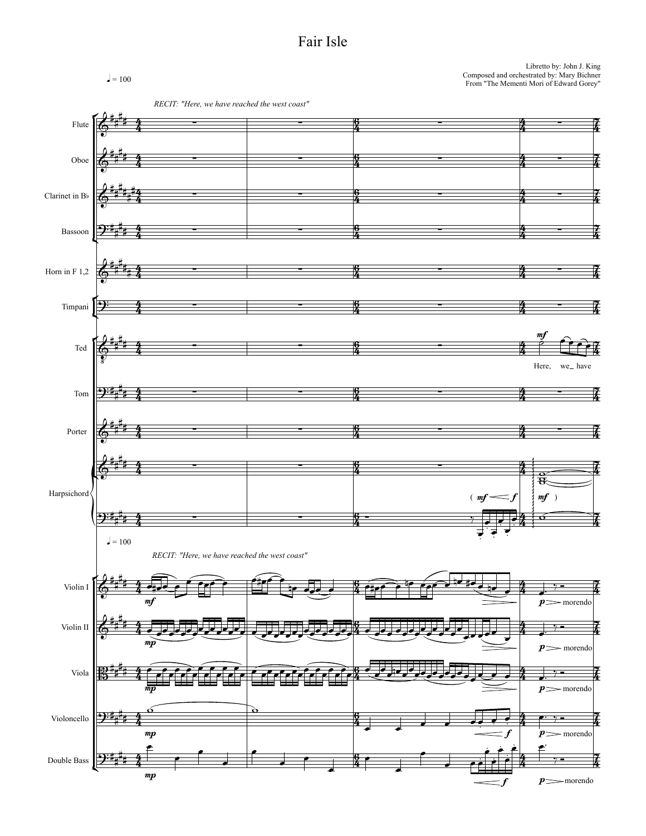## Fair Isle

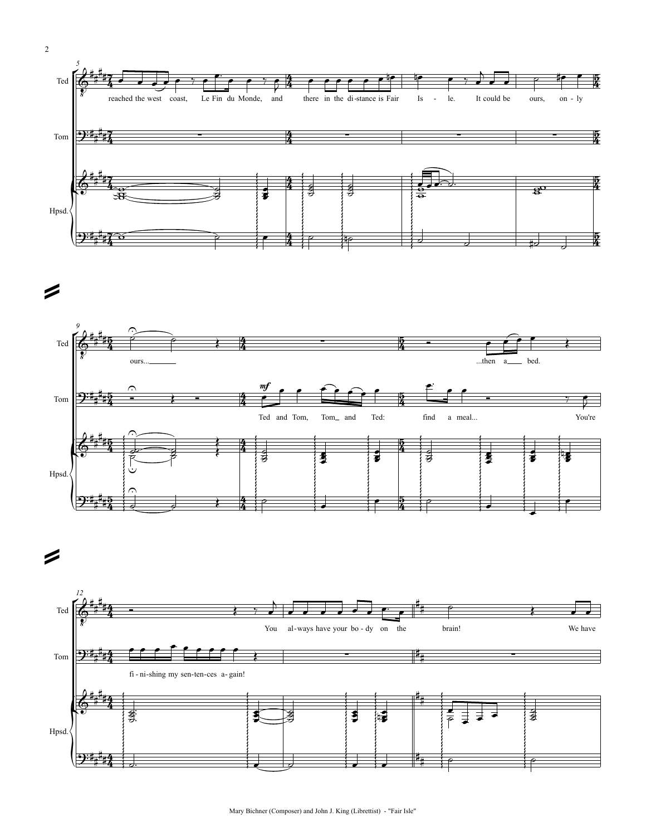

=

=



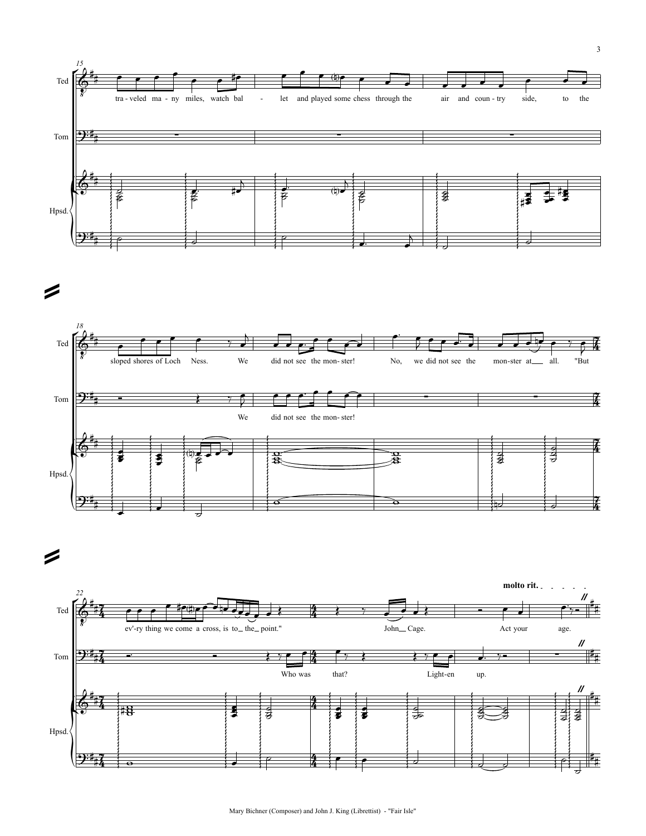

=

=



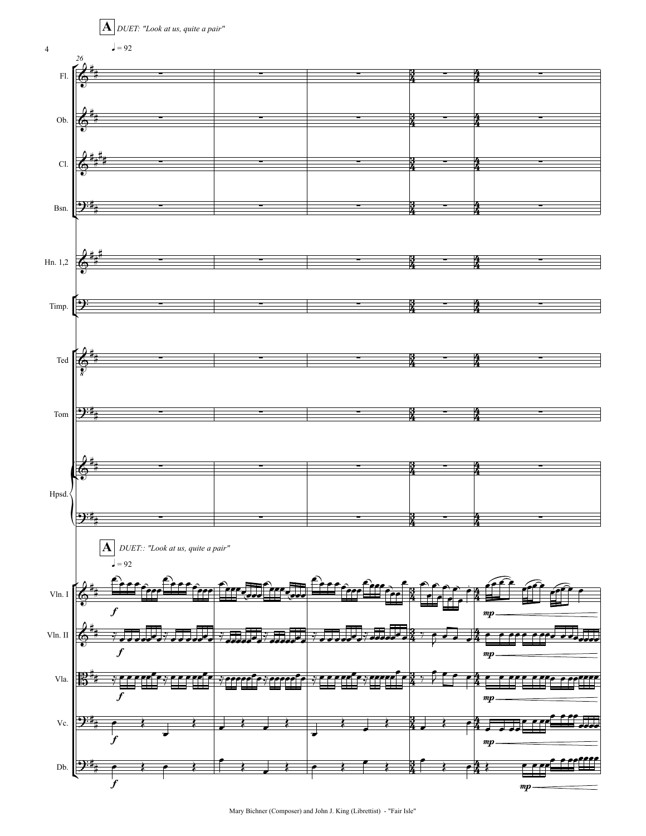° ¢ **\\ightnl** °  $\mathcal{L}^*$ ¢  $\rightarrow$ ¢ Fl. Ob. Cl. Bsn. Hn. 1,2 Timp. Ted Tom Hpsd. Vln. I Vln. II Vla. Vc. Db.  $\mathbf{A} \vert$  DUET: "Look at us, quite a pair"  $l = 92$ *26* f  $\mathbf{A}$   $\mathit{DUET::}$  "Look at us, quite a pair" mp  $l = 92$  $f$  mpc in the matrix  $\begin{bmatrix} m \end{bmatrix}$  mpc in the matrix  $m p$  $f$  mpc is a matrix of the set of  $m\bar{p}$ f mp 3 4 4 4 <u>នូ</u> 4 4 4 <u>នូ</u> 4 4 4 <u>3</u> 4 4 4 <u>នូ</u> 4 4 4 **3** 4 4 4 3 4 4 4 <u>3</u> 4 4  $\frac{4}{4}$ <u>នូ</u> 4 4 4 3 4 4  $\frac{4}{4}$ 3 4 4  $\frac{4}{4}$ <u>3</u> 4 4  $\frac{4}{4}$ 3 4 4  $\frac{4}{4}$ 3 4 4  $\frac{4}{4}$ 3 4 4 4 # ∑ ∑ ∑ ∑ ∑  $\&^*$ # ∑ ∑ ∑ ∑ ∑  $\&^*$ # # # ∑ ∑ ∑ ∑ ∑  $\overline{9:4}$ # ∑ ∑ ∑ ∑ ∑  $\&^*$ # # <sup>∑</sup> <sup>∑</sup> <sup>∑</sup> <sup>∑</sup> <sup>∑</sup>  $\frac{3}{4}$   $\frac{4}{4}$   $\frac{3}{4}$   $\frac{4}{4}$   $\frac{4}{4}$  $\boldsymbol{t}_{\!\infty}$ ‹ # # ∑ ∑ ∑ ∑ ∑  $9:1$ # ∑ ∑ ∑ ∑ ∑  $\mathbf{\hat{\mathscr{E}}}^{\sharp}$ # ∑ ∑ ∑ ∑ ∑  $\overline{2}$  :  $\frac{1}{4}$   $\frac{2}{4}$   $\frac{1}{4}$   $\frac{2}{4}$   $\frac{1}{4}$   $\frac{2}{4}$   $\frac{1}{4}$   $\frac{2}{4}$   $\frac{1}{4}$  $\&b$ # .  $\, \, \theta$ #  $\mathbb{R}^+$  $\overline{2}$  : #  $\overline{2:1}$ # e<br><del>∟e e c</del> e<br><del>⊆er</del>e en en E œœœœœœœœ e <br><del>∟e e c</del> œœœœœœœ e<br>Fe œ œ œ œ œ œ œ  $\epsilon$ ≈ œ œ œœœœœ≈ œ œ œœœœœ ≈ œœœœœœœ ≈ œ ▀▀▏; ▀▀▏<sup>;</sup><br>~~~*~* <sup>J</sup> <sup>œ</sup> <sup>œ</sup> <sup>œ</sup> <sup>œ</sup> <sup>œ</sup> œœœ <sup>œ</sup> œœœ <sup>œ</sup> œœœœœœ .<br>حديد صور د د موسوم د يو د يوه وسوم د چون د موسوم د چون موسوم د موسوم د موسوم موسوم د موسوم د چون موسوم د چون س e<br>J <u>e e e e e est este esp</u>ecen <sup>œ</sup> <sup>Œ</sup> <sup>œ</sup> <sup>Œ</sup> <sup>œ</sup> <sup>Œ</sup> <sup>œ</sup> <sup>Œ</sup> <sup>œ</sup> <sup>Œ</sup> <sup>œ</sup> <sup>Œ</sup> <sup>œ</sup> <sup>Œ</sup> <sup>œ</sup> <sup>œ</sup> <sup>œ</sup> œœ œ œ œœœ œ œœ œœœœ <sup>œ</sup> <sup>Œ</sup> <sup>œ</sup> <sup>Œ</sup> <sup>œ</sup> <sup>Œ</sup> <sup>œ</sup> <sup>Œ</sup> <sup>œ</sup> <sup>Œ</sup> <sup>œ</sup> <sup>Œ</sup> <sup>œ</sup> <sup>Œ</sup> <sup>œ</sup> <sup>Œ</sup> <sup>œ</sup> <sup>œ</sup> œœœ <sup>œ</sup> œœœœœœ 4

 $f$  mpc and the matrix  $m p$  mpc and  $m p$  mpc and  $m p$  mpc and  $m p$  mpc and  $m p$  mpc and  $m p$  mpc and  $m p$  mpc and  $m p$  mpc and  $m p$  mpc and  $m p$  mpc and  $m p$  mpc and  $m p$  mpc and  $m p$  mpc and  $m p$  mpc and  $m p$  mpc and  $m p$ 

¢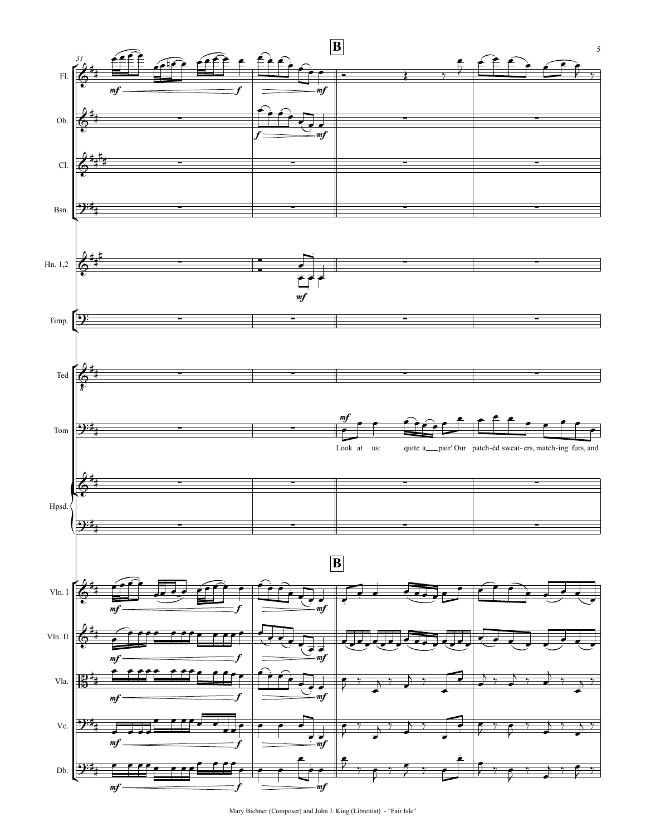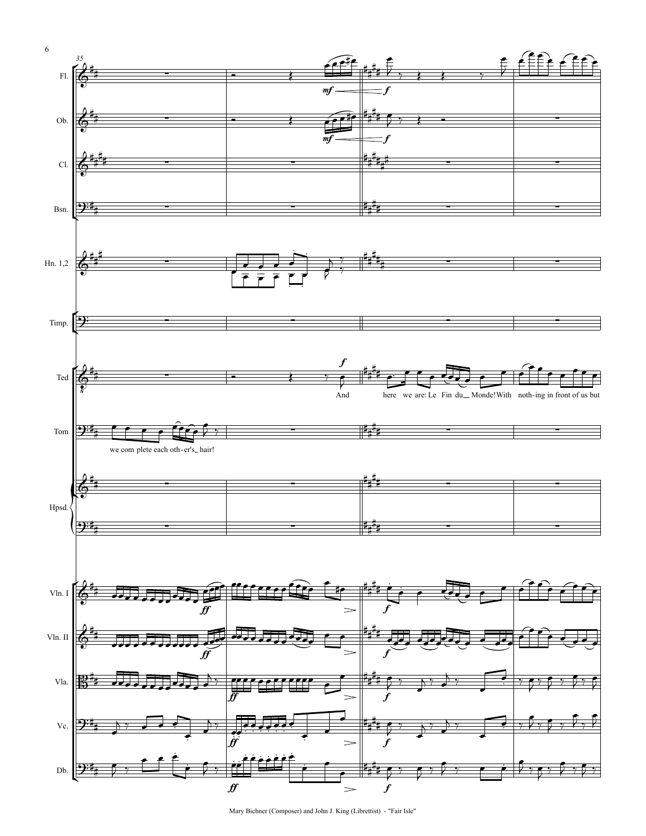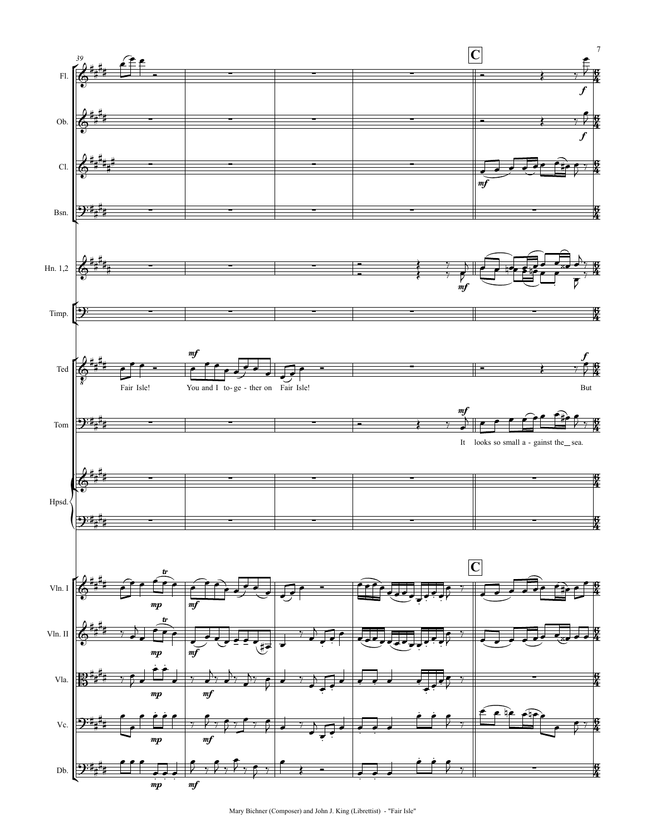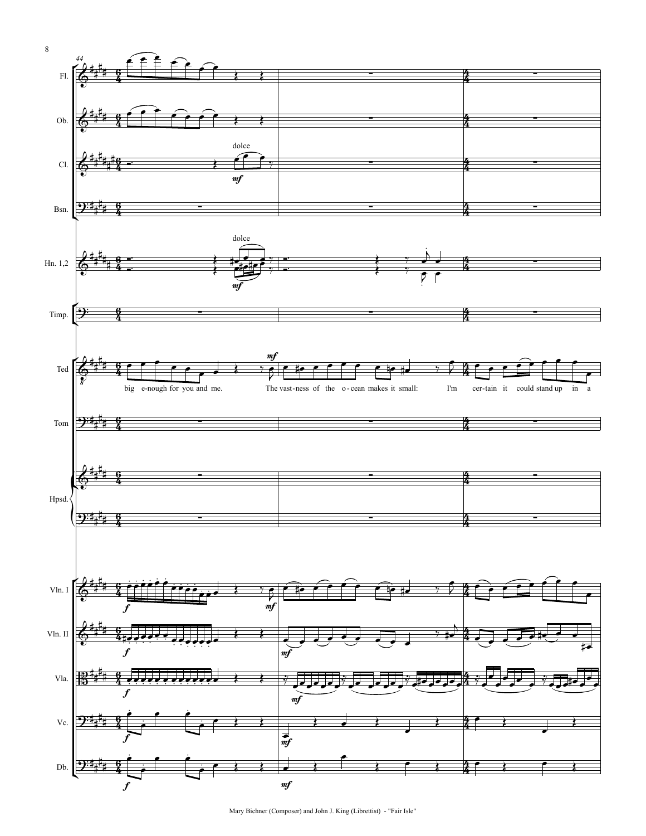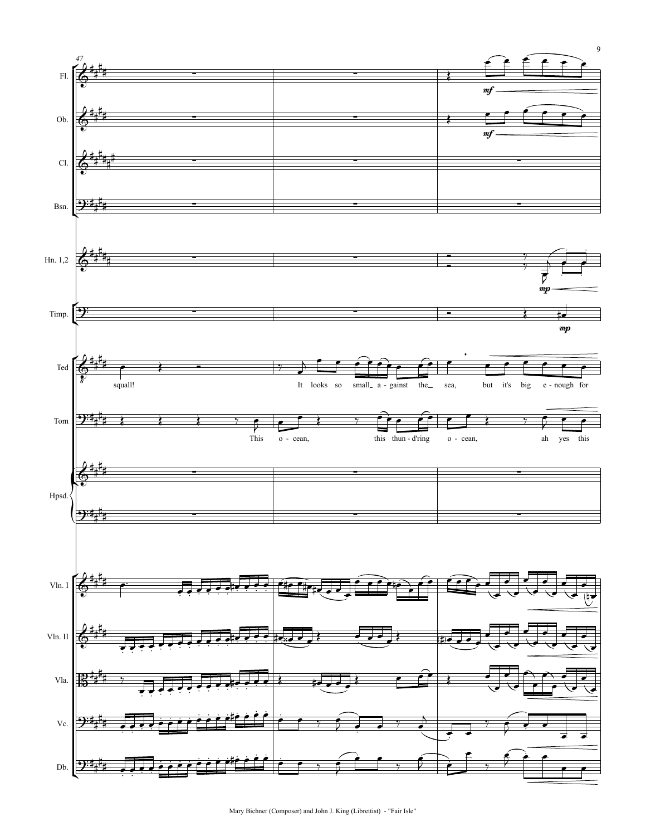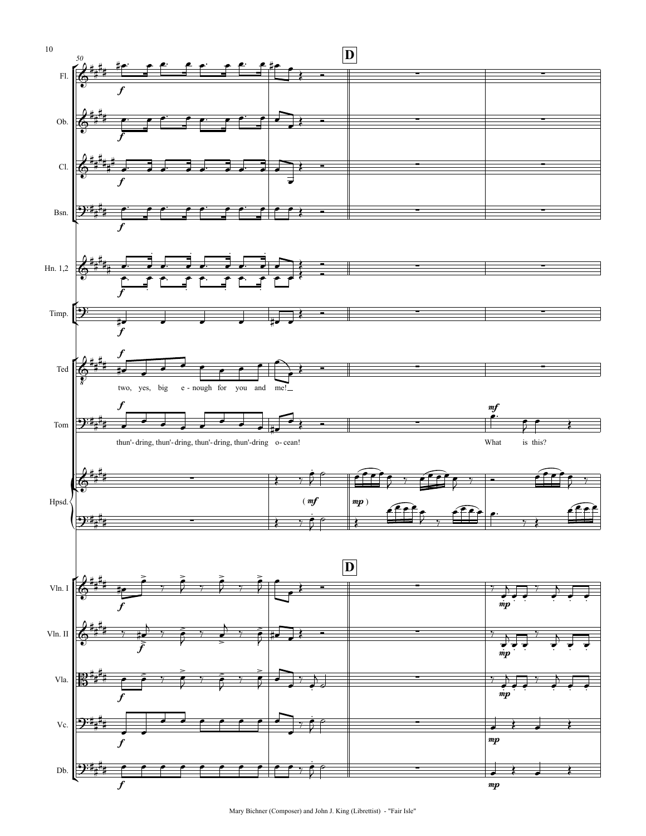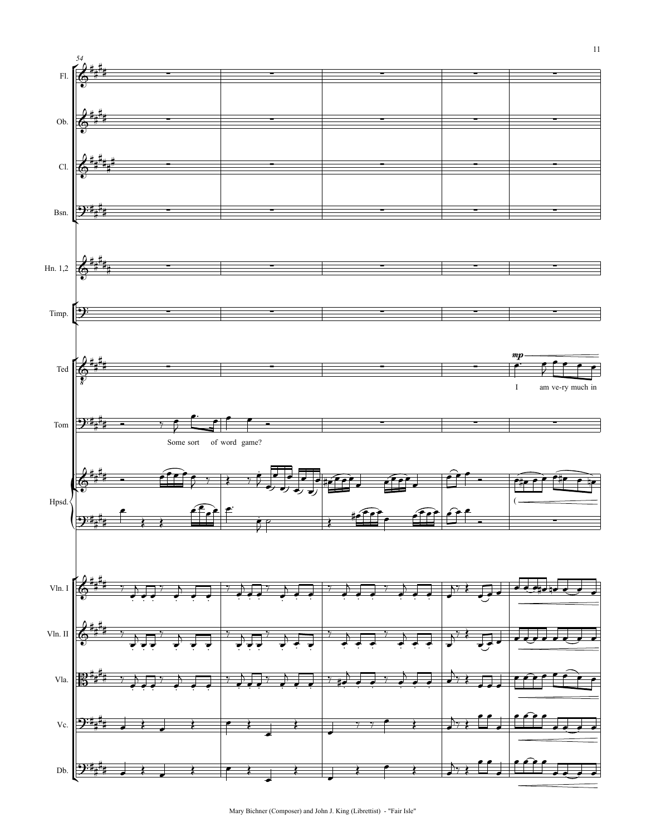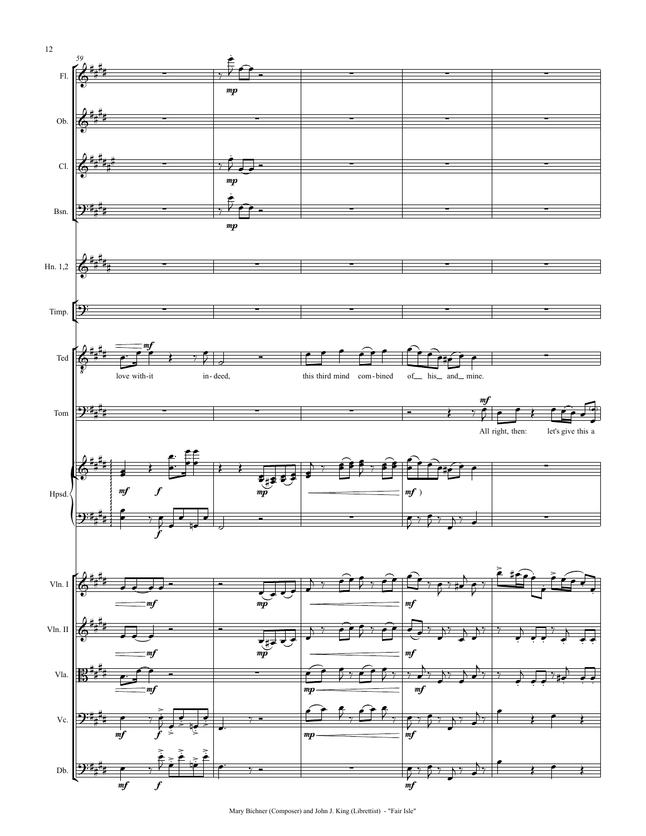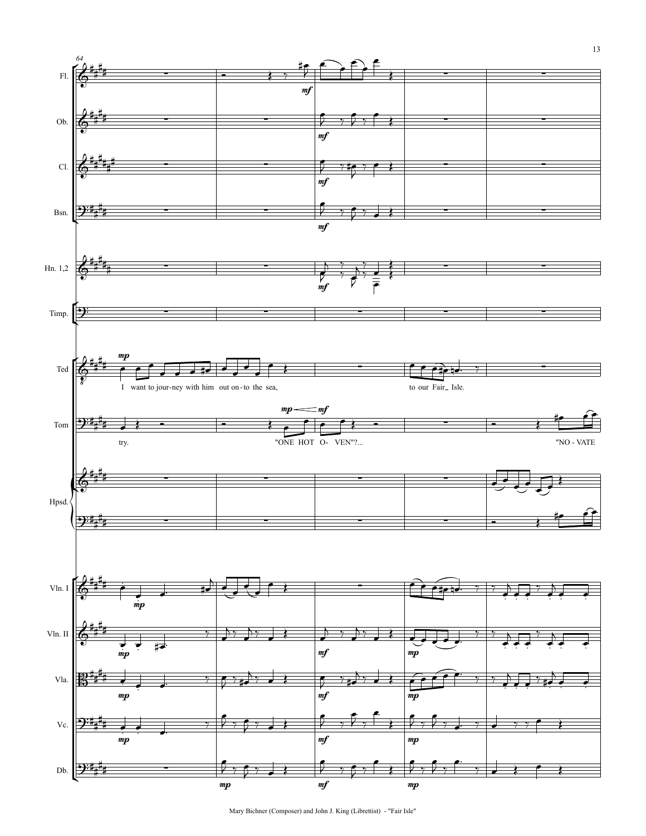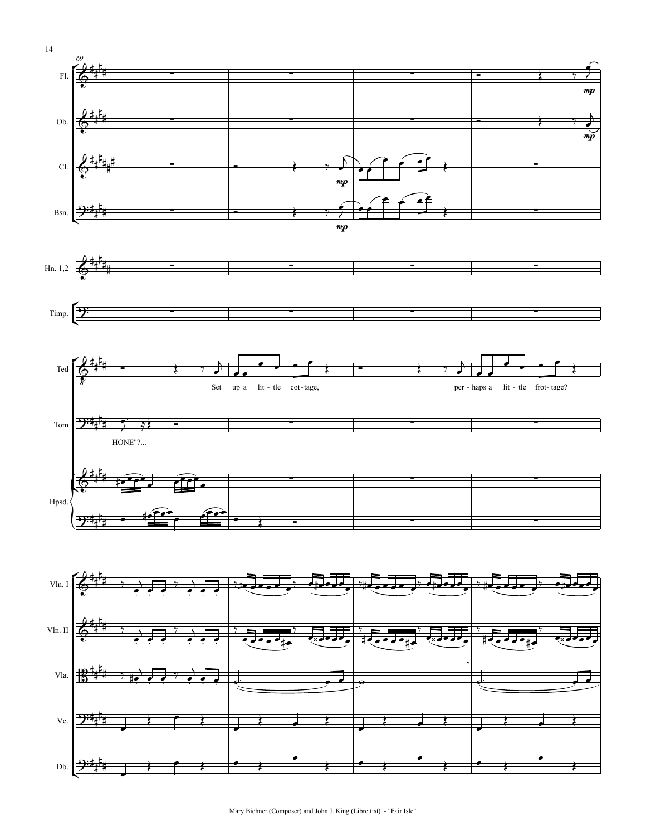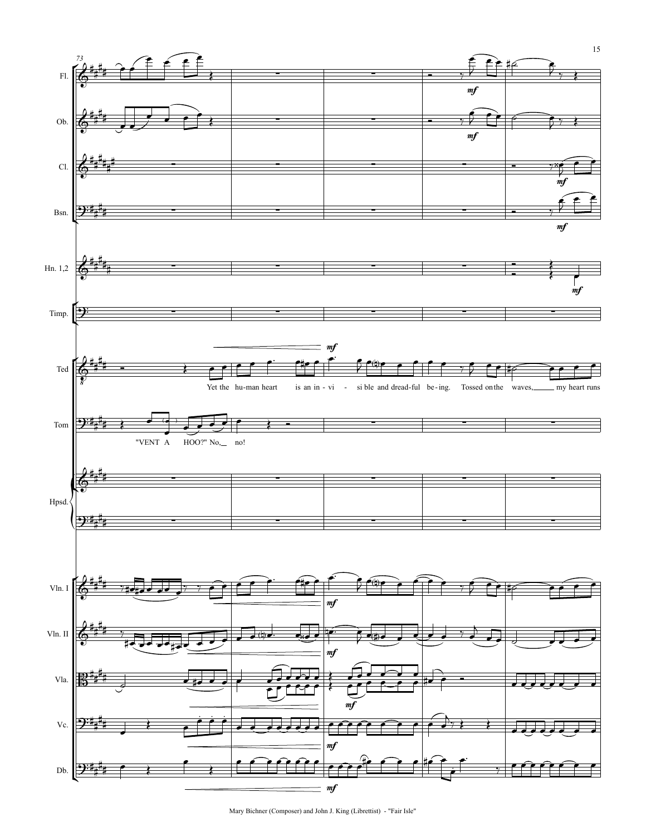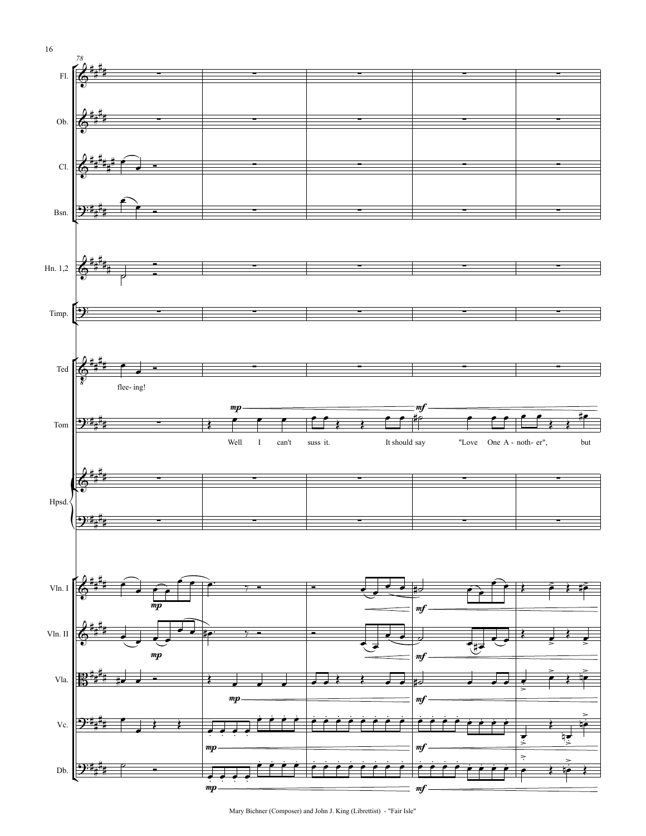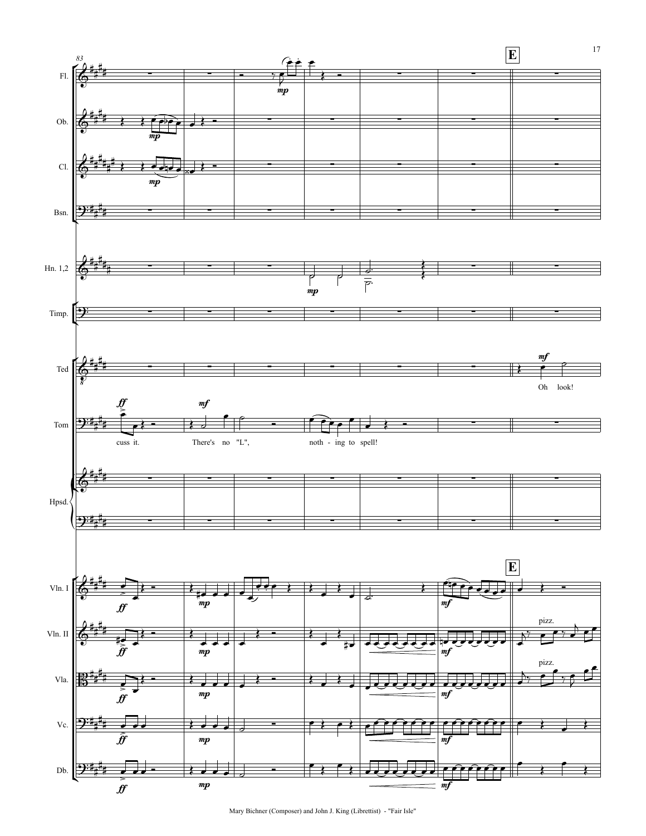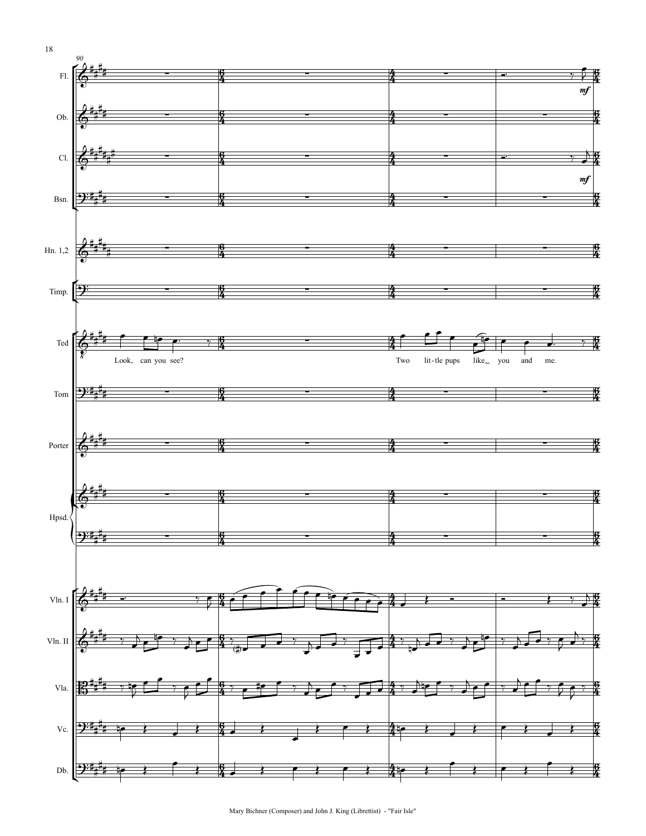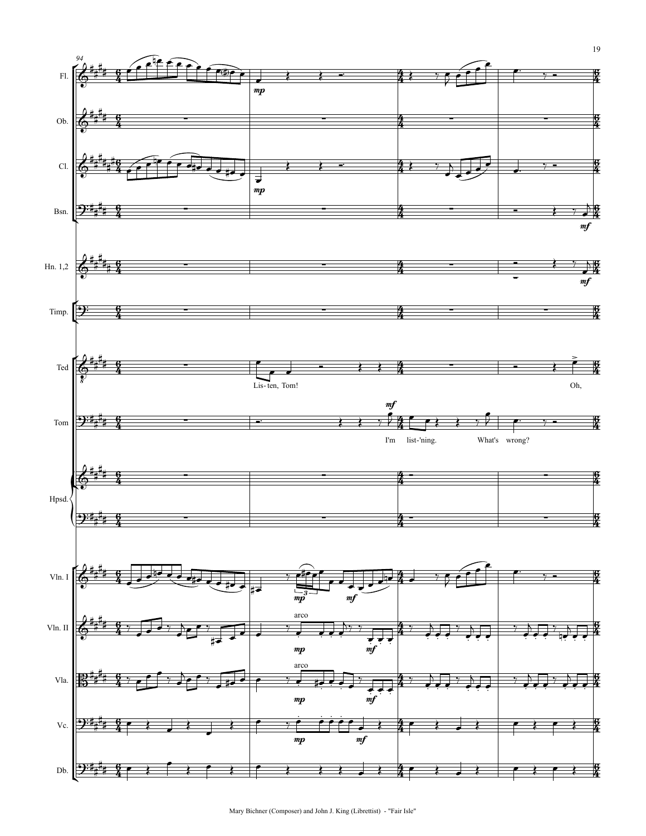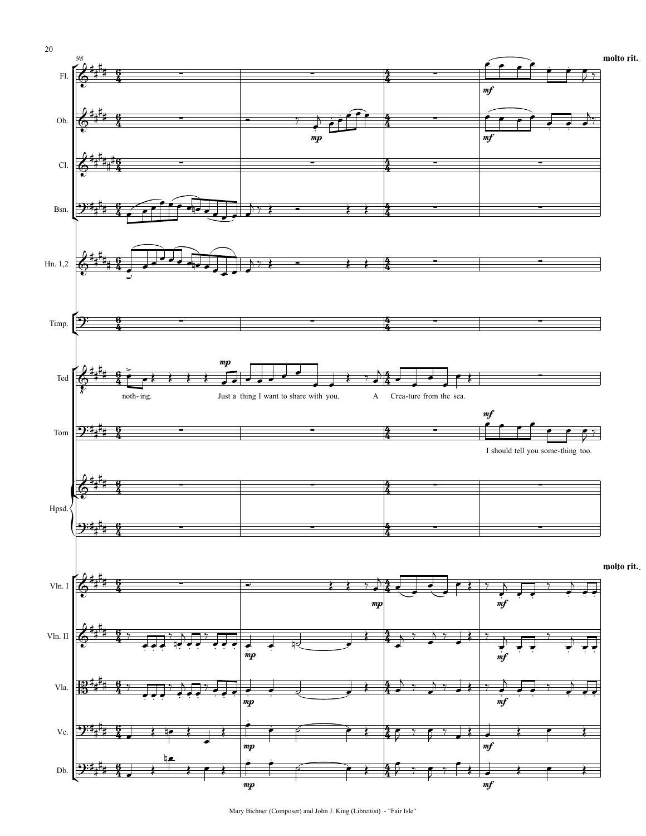

Mary Bichner (Composer) and John J. King (Librettist) - "Fair Isle"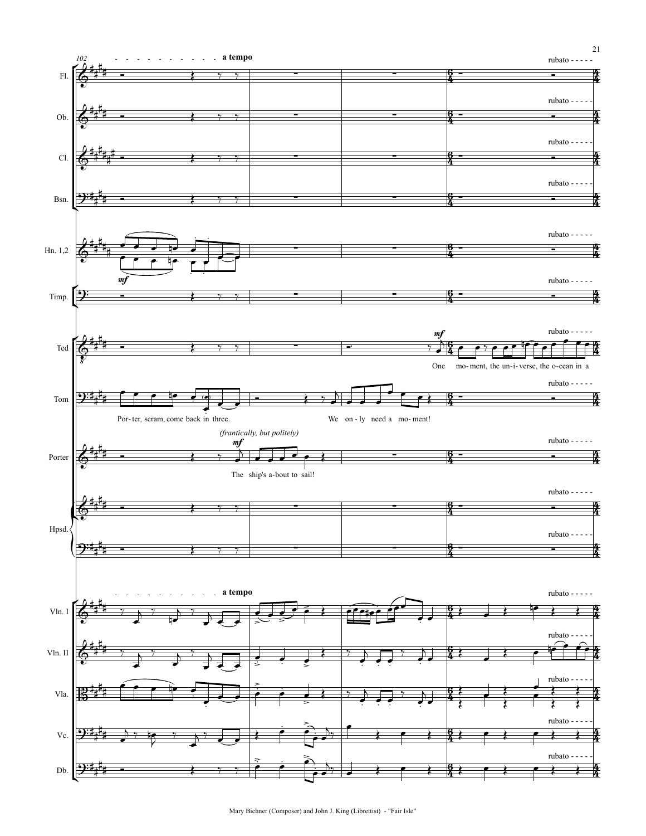

21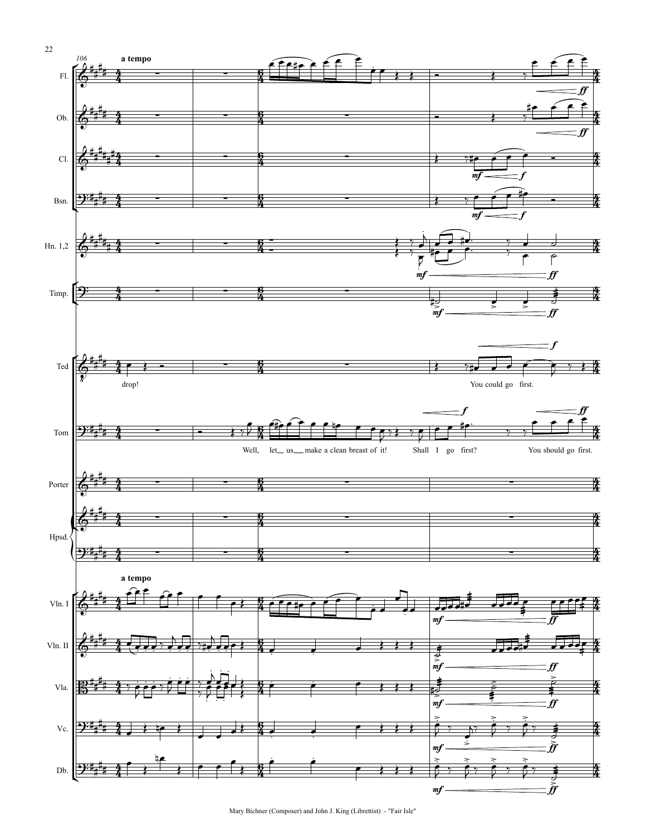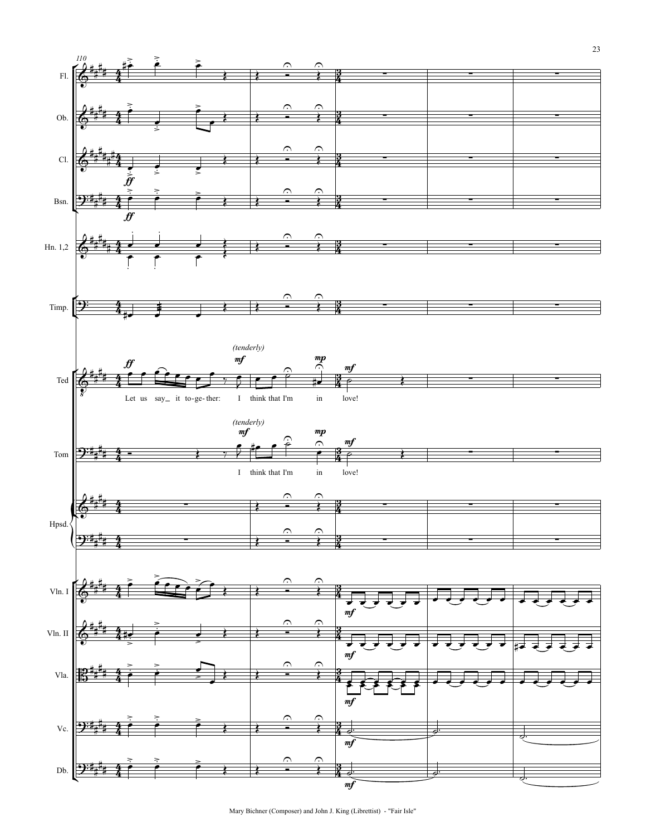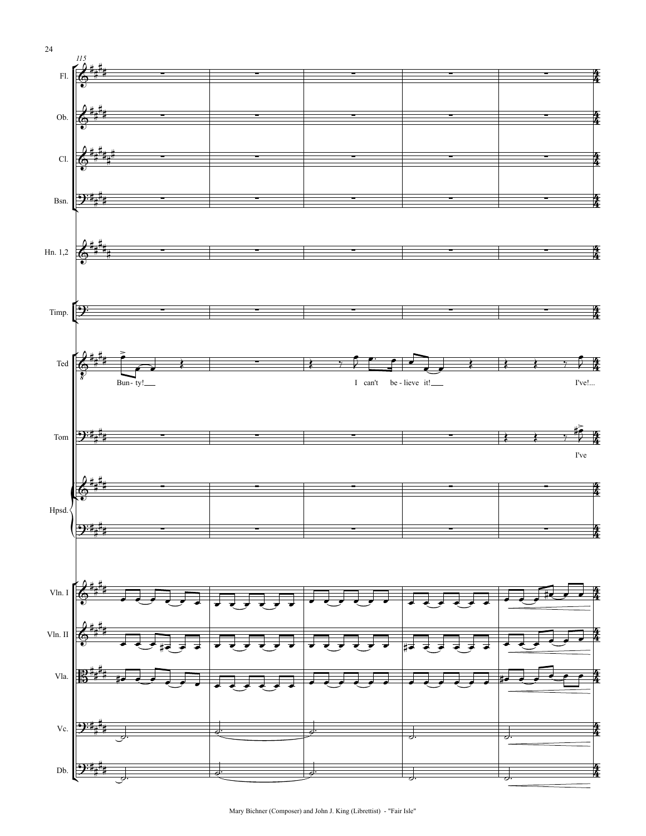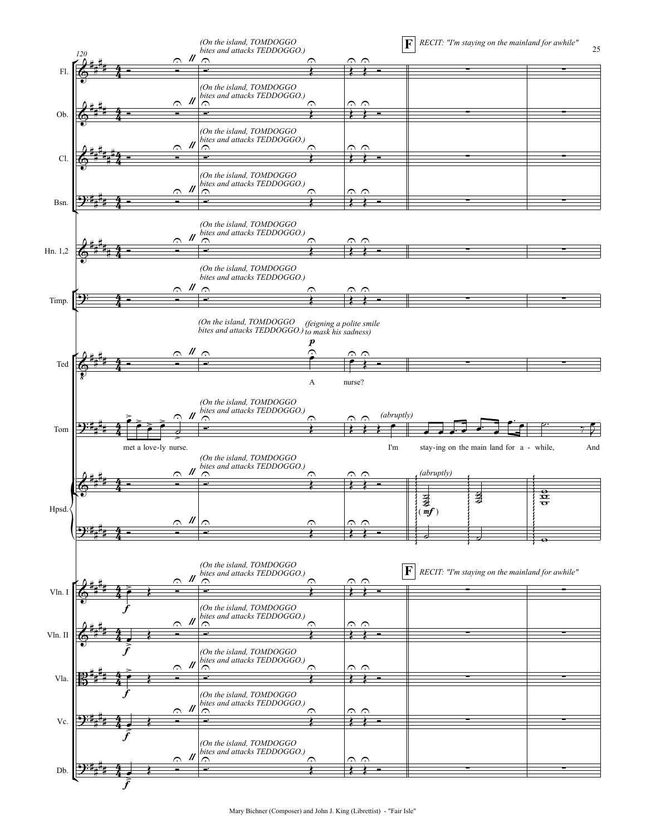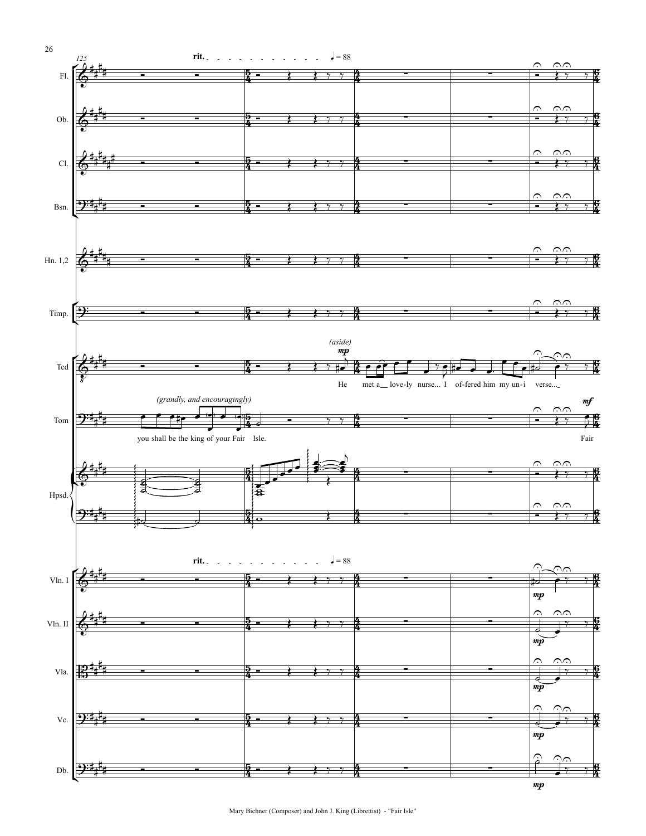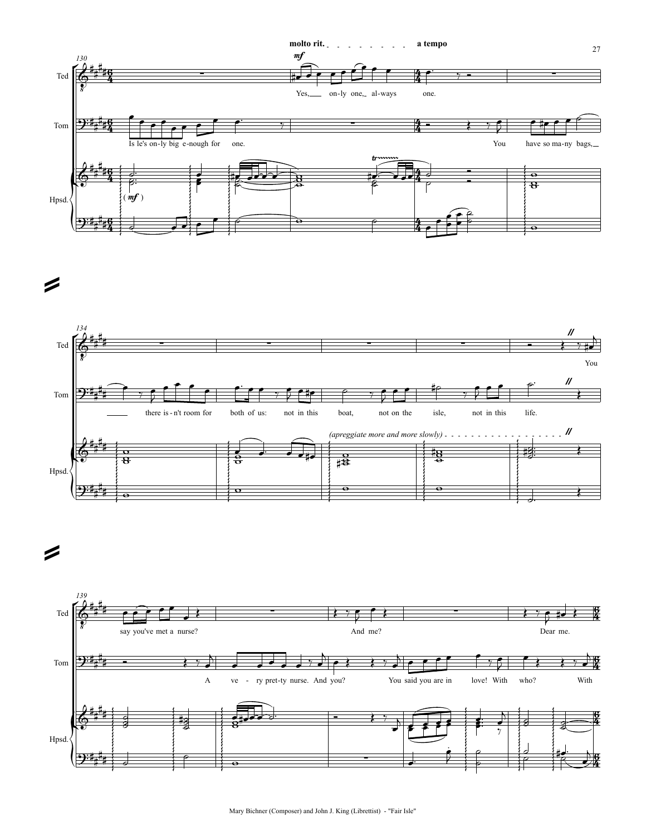

=

=



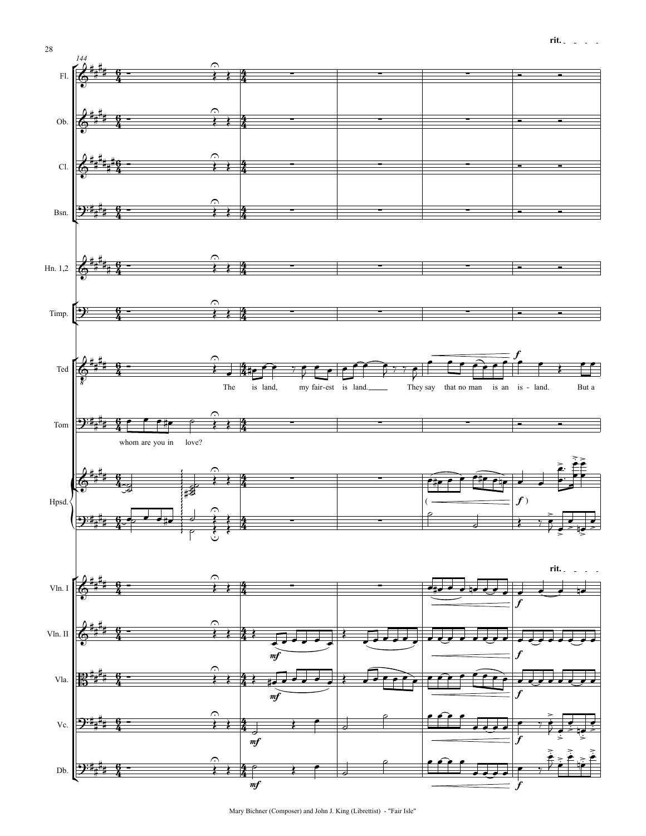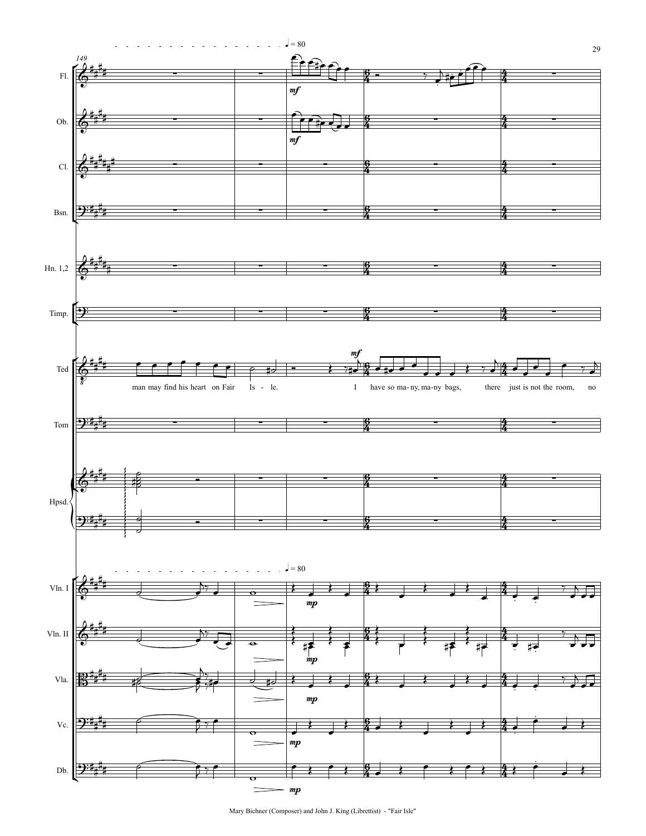

Mary Bichner (Composer) and John J. King (Librettist) - "Fair Isle"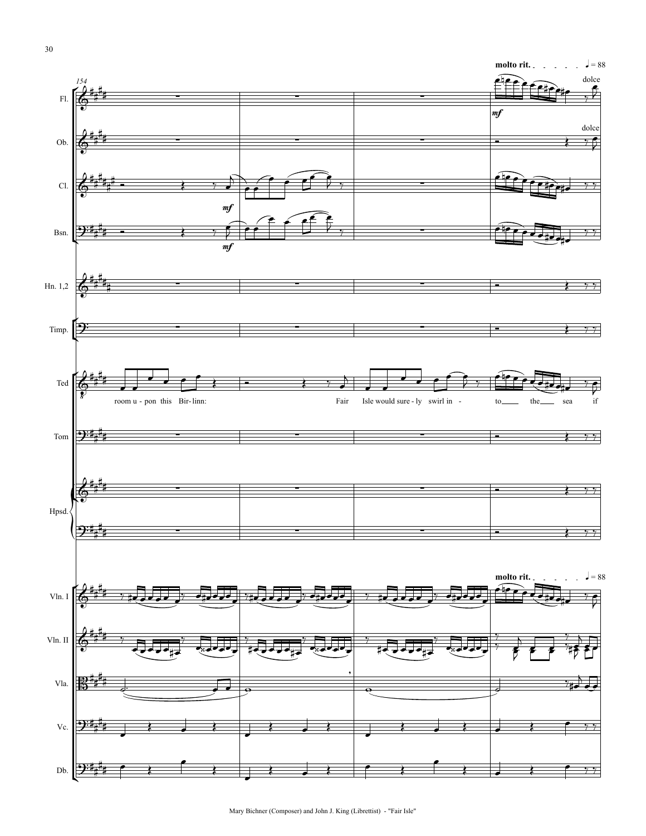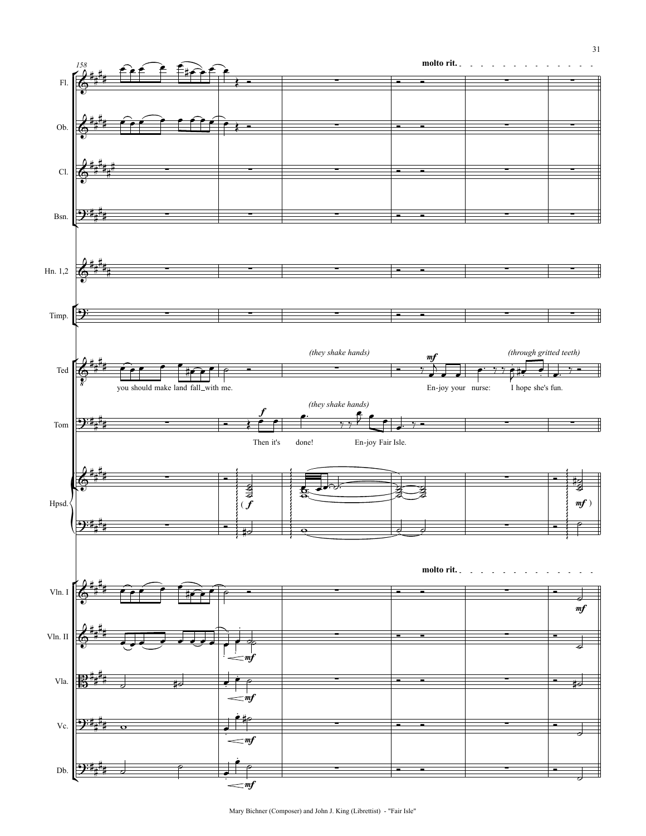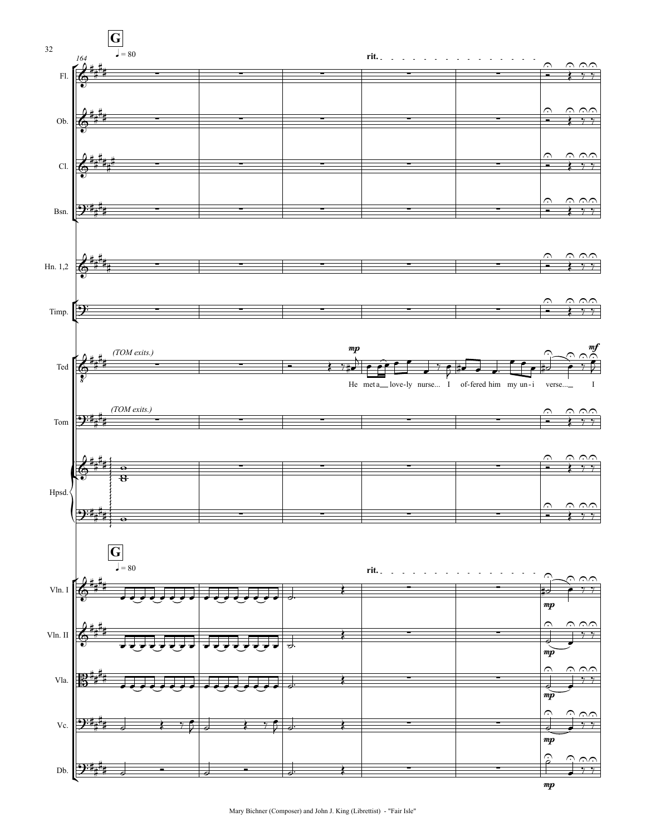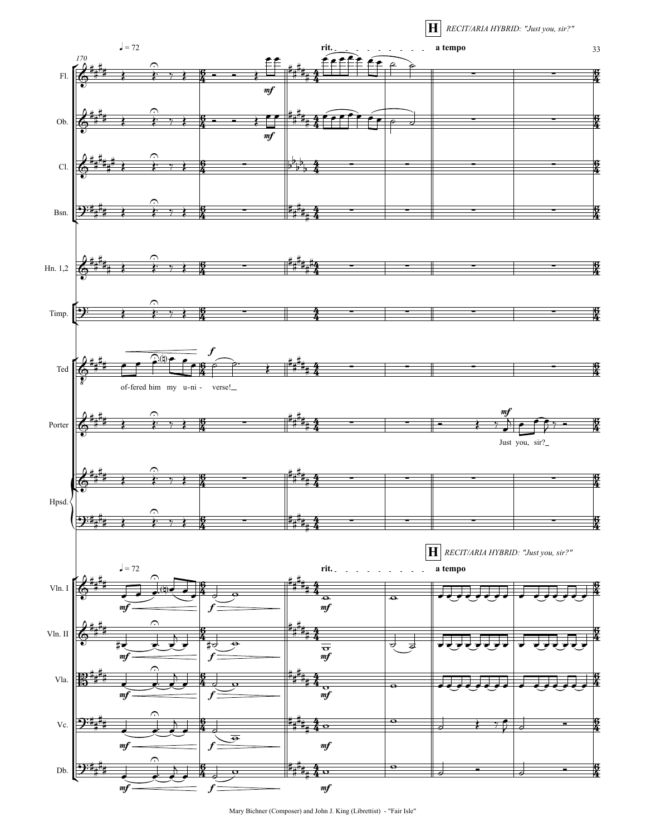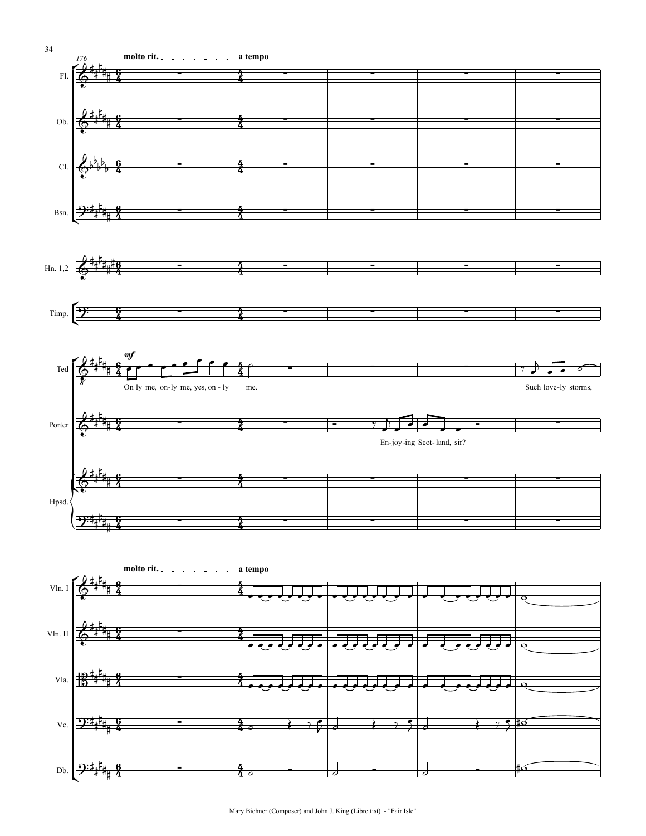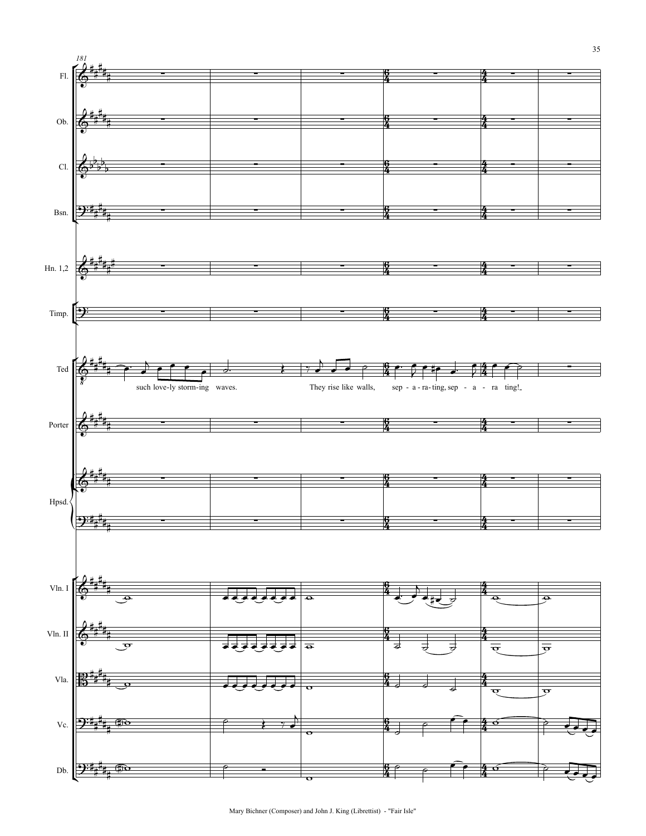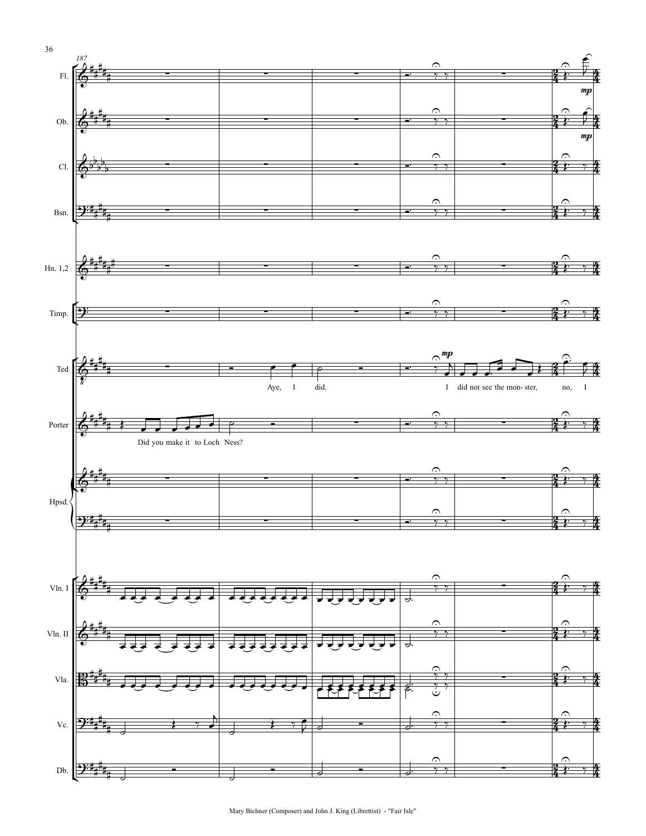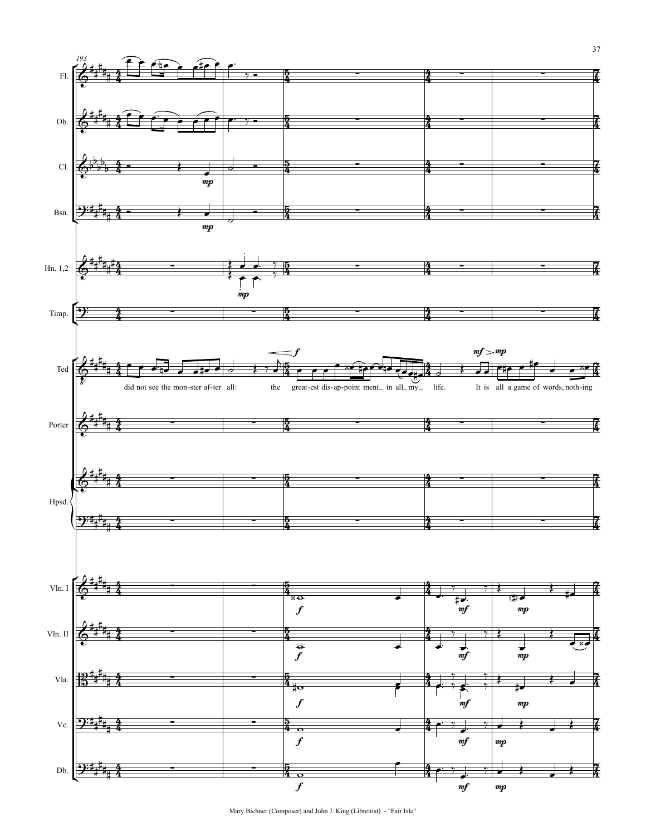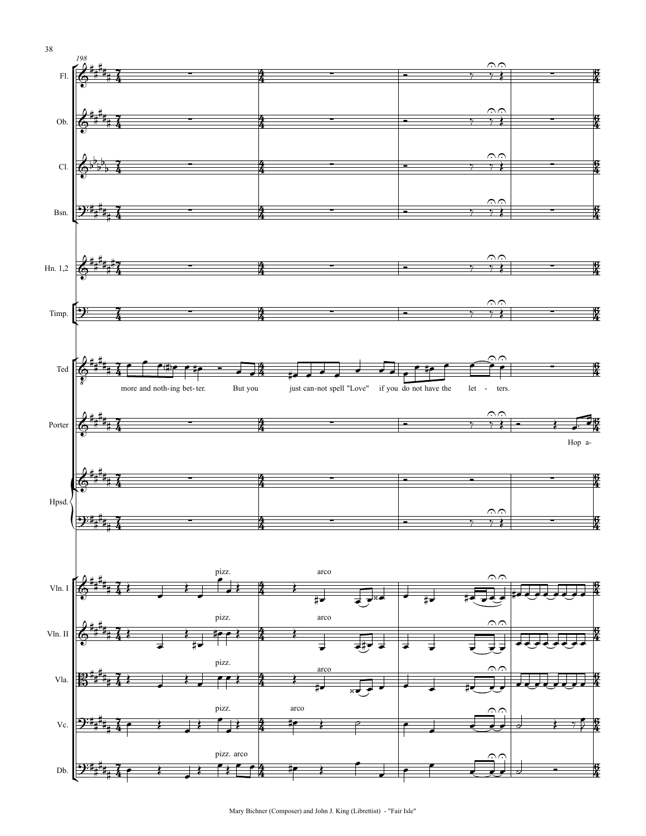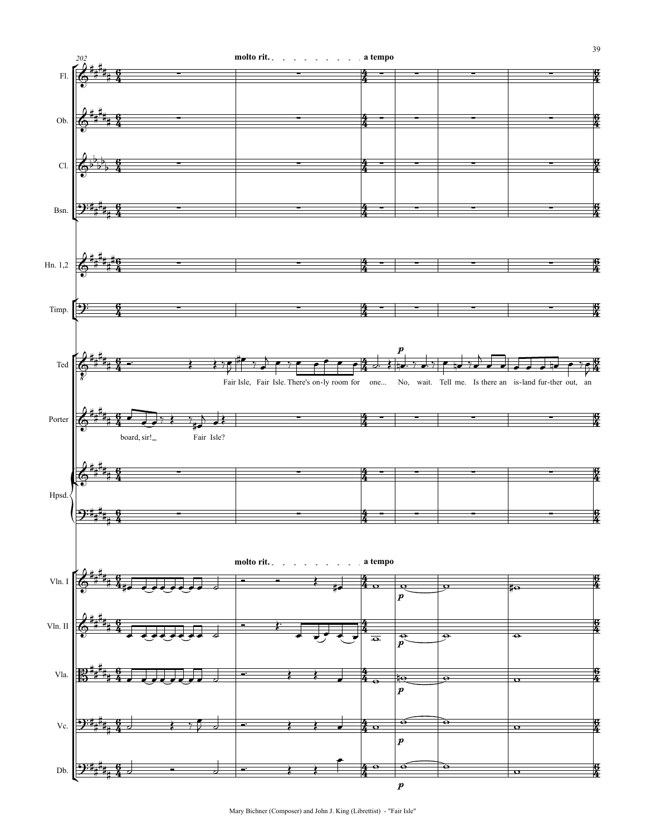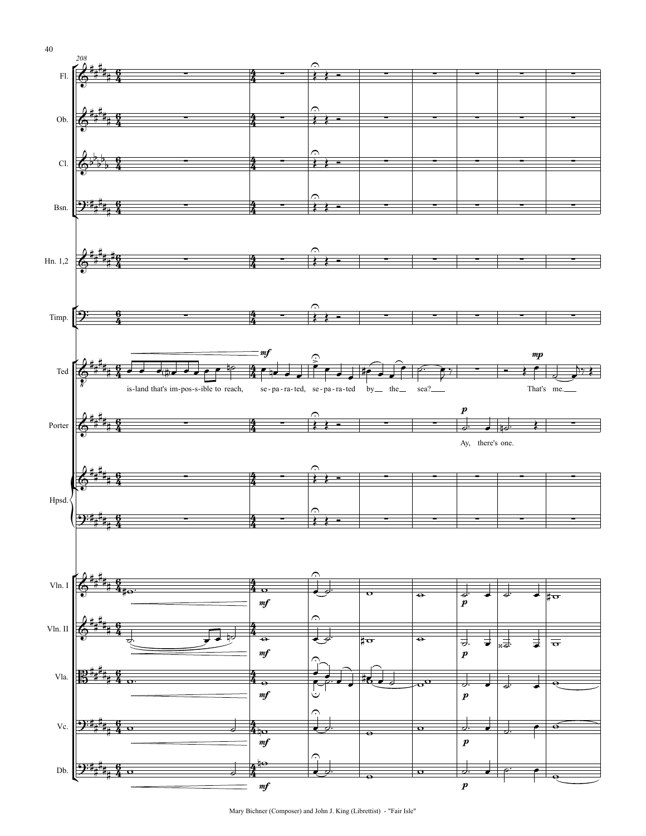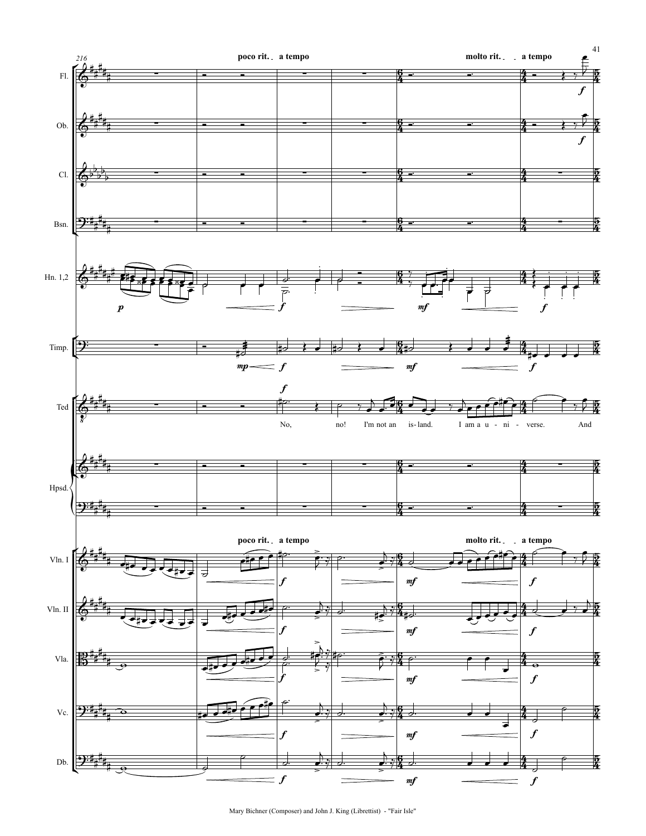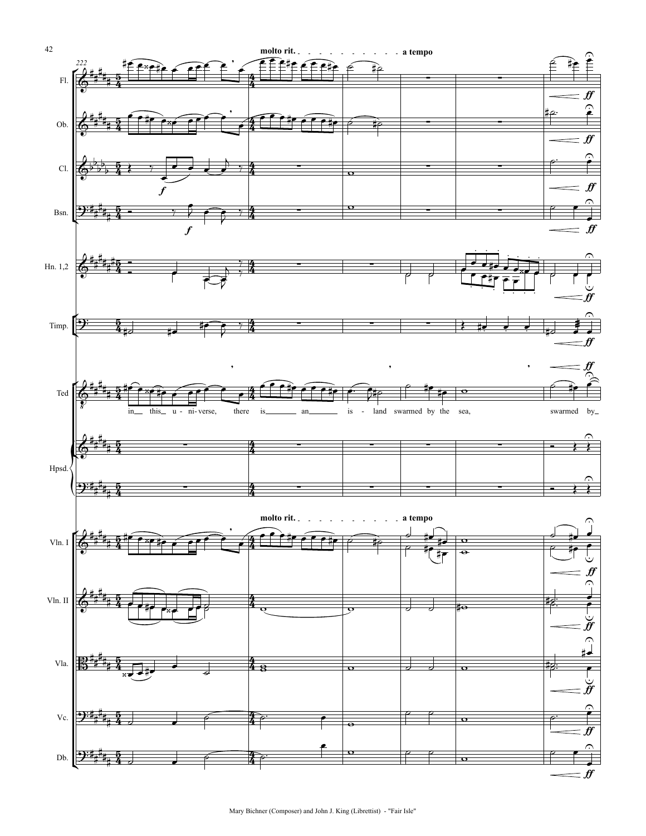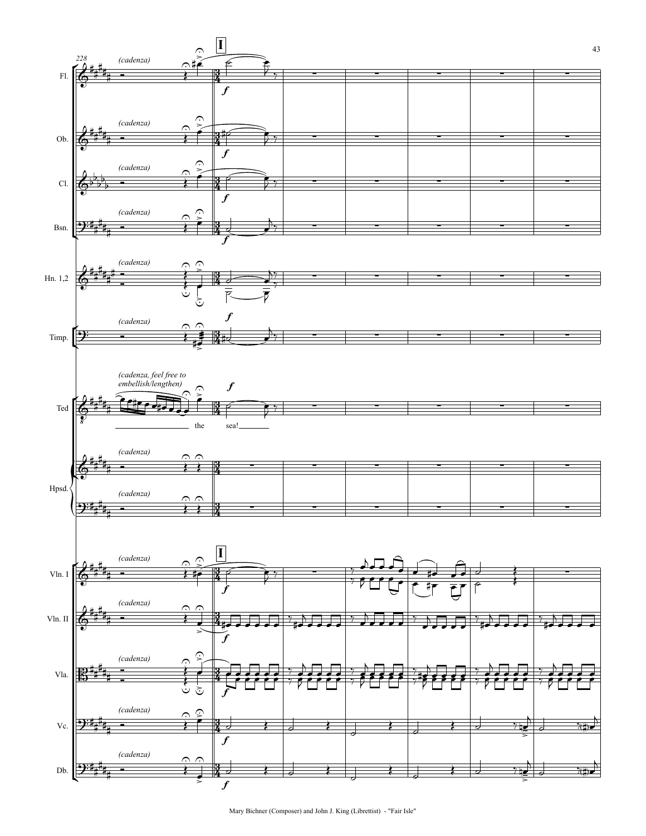